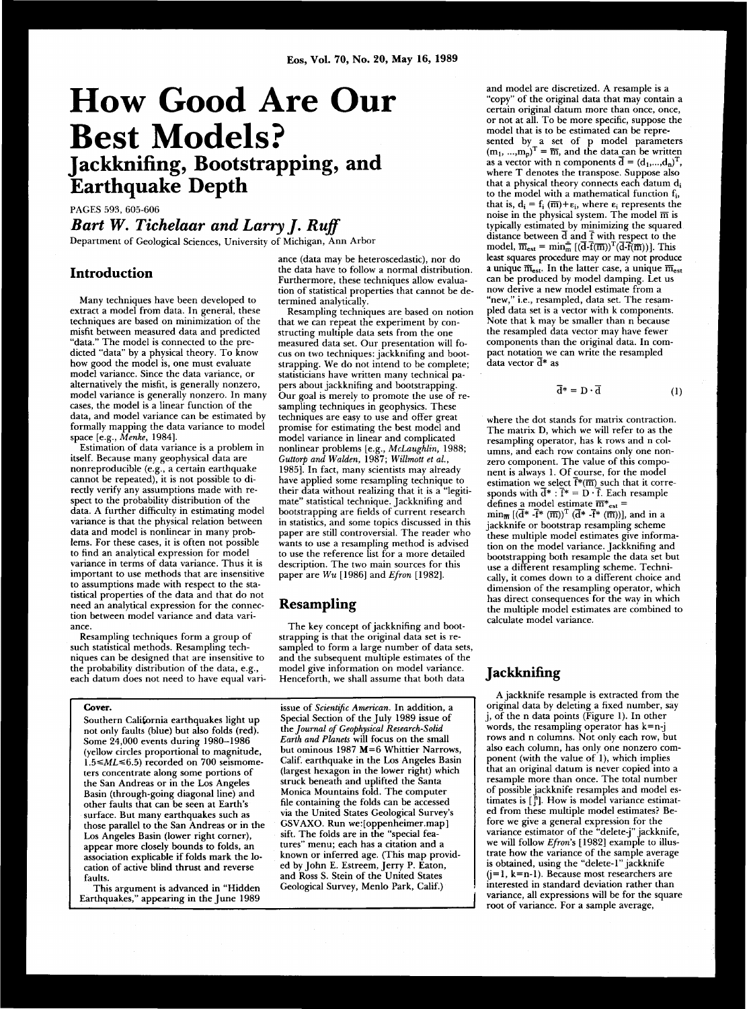# **How Good Are Our Best Models? Jackknifing, Bootstrapping, and Earthquake Depth**

PAGES 593, 605-606

# *Bart W. Tichelaar and Larry J. Ruff*  Department of Geological Sciences, University of Michigan, Ann Arbor

#### **Introduction**

Many techniques have been developed to  $extract$  a model from data. In general, these  $techniones$  are based on minimization of the misht between measured data and predicted "data." The model is connected to the predicted "data" by a physical theory. To know how good the model is, one must evaluate model variance. Since the data variance, or alternatively the misfit, is generally nonzero, model variance is generally nonzero. In many cases, the model is a linear function of the data, and model variance can be estimated by formally mapping the data variance to model space [e.g., Menke, 1984].

Estimation of data variance is a problem in itself. Because many geophysical data are nonreproducible (e.g., a certain earthquake cannot be repeated), it is not possible to directly verify any assumptions made with respect to the probability distribution of the data. A further difficulty in estimating model variance is that the physical relation between data and model is nonlinear in many problems. For these cases, it is often not possible to find an analytical expression for model variance in terms of data variance. Thus it is important to use methods that are insensitive to assumptions made with respect to the statistical properties of the data and that do not need an analytical expression for the connection between model variance and data variance .

Resampling techniques form a group of such statistical methods. Resampling techniques can be designed that are insensitive to the probability distribution of the data, e.g., each datum does not need to have equal vari-

#### **Cover.**

Southern California earthquakes light up not only faults (blue) but also folds (red). Some 24,000 events during 1980–1986 (yellow circles proportional to magnitude,  $1.5 \leq ML \leq 6.5$  recorded on 700 seismometers concentrate along some portions of the San Andreas or in the Los Angeles Basin (through-going diagonal line) and other faults that can be seen at Earth's surface. But many earthquakes such as those parallel to the San Andreas or in the Los Angeles Basin (lower right corner), appear more closely bounds to folds, an association explicable if folds mark the location of active blind thrust and reverse faults.

This argument is advanced in "Hidden Earthquakes," appearing in the June 1989 ance (data may be heteroscedastic), nor do the data have to follow a normal distribution. Furthermore, these techniques allow evaluation of statistical properties that cannot be de $termined$  analytically.

Resampling techniques are based on notion that we can repeat the experiment by constructing multiple data sets from the one measured data set. Our presentation will focus on two techniques: jackknifing and bootstrapping. We do not intend to be complete; statisticians have written many technical papers about jackknifing and bootstrapping. Our goal is merely to promote the use of resampling techniques in geophysics. These techniques are easy to use and offer great promise for estimating the best model and model variance in linear and complicated nonlinear problems [e.g., *McLaughlin*, 1988; *Guttorp and Walden,* 1987 ; *Willmott et ah,*  1985]. In fact, many scientists may already have applied some resampling technique to their data without realizing that it is a "legitimate" statistical technique. Jackknifing and bootstrapping are fields of current research in statistics, and some topics discussed in this paper are still controversial. The reader who wants to use a resampling method is advised to use the reference list for a more detailed description. The two main sources for this paper are  $Wu$  [1986] and *Efron* [1982].

## **Resampling**

The key concept of jackknifing and bootstrapping is that the original data set is resampled to form a large number of data sets, and the subsequent multiple estimates of the model give information on model variance. Henceforth, we shall assume that both data

issue of *Scientific American*. In addition, a Special Section of the July 1989 issue of the *Journal of Geophysical Research-Solid* Earth and Planets will focus on the small but ominous 1987  $M=6$  Whittier Narrows, Calif. earthquake in the Los Angeles Basin (largest hexagon in the lower right) which struck beneath and uplifted the Santa Monica Mountains fold. The computer file containing the folds can be accessed via the United States Geological Survey's GSVAXO. Run we: [oppenheimer.map] sift. The folds are in the "special features" menu; each has a citation and a known or inferred age. (This map provided by John E. Estreem. Jerry P. Eaton. and Ross S. Stein of the United States Geological Survey, Menlo Park, Calif.)

and model are discretized. A resample is a "copy" of the original data that may contain a  $c$  certain original datum more than once, once, or not at all. To be more specific, suppose the model that is to be estimated can be represented by a set of p model parameters  $(m_1, ..., m_n)^T = \overline{m}$ , and the data can be written as a vector with n components  $d = (d_1,...,d_n)^T$ , where  $T$  denotes the transpose. Suppose also that a physical theory connects each datum  $d_i$ to the model with a mathematical function  $f_i$ , that is,  $d_i = f_i(\overline{m}) + \varepsilon_i$ , where  $\varepsilon_i$  represents the noise in the physical system. The model  $\overline{m}$  is typically estimated by minimizing the squared distance between  $\overline{d}$  and  $\overline{f}$  with respect to the model,  $\overline{m}_{\text{est}} = \min_{\pi} \left[ (d_f(\overline{m}))^T (d_f(\overline{m}))) \right]$ . This least squares procedure may or may not produce a unique  $\overline{m}_{est}$ . In the latter case, a unique  $\overline{m}_{est}$ can be produced by model damping. Let us now derive a new model estimate from a "new," i.e., resampled, data set. The resampled data set is a vector with k components. Note that k may be smaller than n because the resampled data vector may have fewer components than the original data. In compact notation we can write the resampled  $\overline{\rm d}$ ata vector  $\overline{\rm d}{}^*$  as

$$
\overline{\mathbf{d}}^* = \mathbf{D} \cdot \overline{\mathbf{d}} \tag{1}
$$

where the dot stands for matrix contraction. The matrix D, which we will refer to as the resampling operator, has k rows and n columns, and each row contains only one nonzero component. The value of this component is always 1. Of course, for the model estimation we select  $f^*(\overline{m})$  such that it corresponds with  $d^* : f^* = D \cdot f$ . Each resample defines a model estimate  $\overline{m}^*_{est}$  =  $\min_{\mathbf{m}} [(d^* - f^* (\overline{m}))^T (d^* - f^* (\overline{m}))]$ , and in a jackknife or bootstrap resampling scheme these multiple model estimates give information on the model variance. Jackknifing and bootstrapping both resample the data set but use a different resampling scheme. Technically, it comes down to a different choice and dimension of the resampling operator, which has direct consequences for the way in which the multiple model estimates are combined to calculate model variance.

#### **Jackknifing**

A jackknife resample is extracted from the original data by deleting a fixed number, say j, of the n data points (Figure 1). In other words, the resampling operator has  $k=n-j$ rows and n columns. Not only each row, but also each column, has only one nonzero component (with the value of 1), which implies that an original datum is never copied into a resample more than once. The total number of possible jackknife resamples and model estimates is  $\begin{bmatrix} n \\ j \end{bmatrix}$ . How is model variance estimated from these multiple model estimates? Before we give a general expression for the variance estimator of the "delete-i" jackknife. we will follow *Efron*'s [1982] example to illustrate how the variance of the sample average is obtained, using the "delete-1" jackknife  $(j=1, k=n-1)$ . Because most researchers are interested in standard deviation rather than variance, all expressions will be for the square root of variance. For a sample average,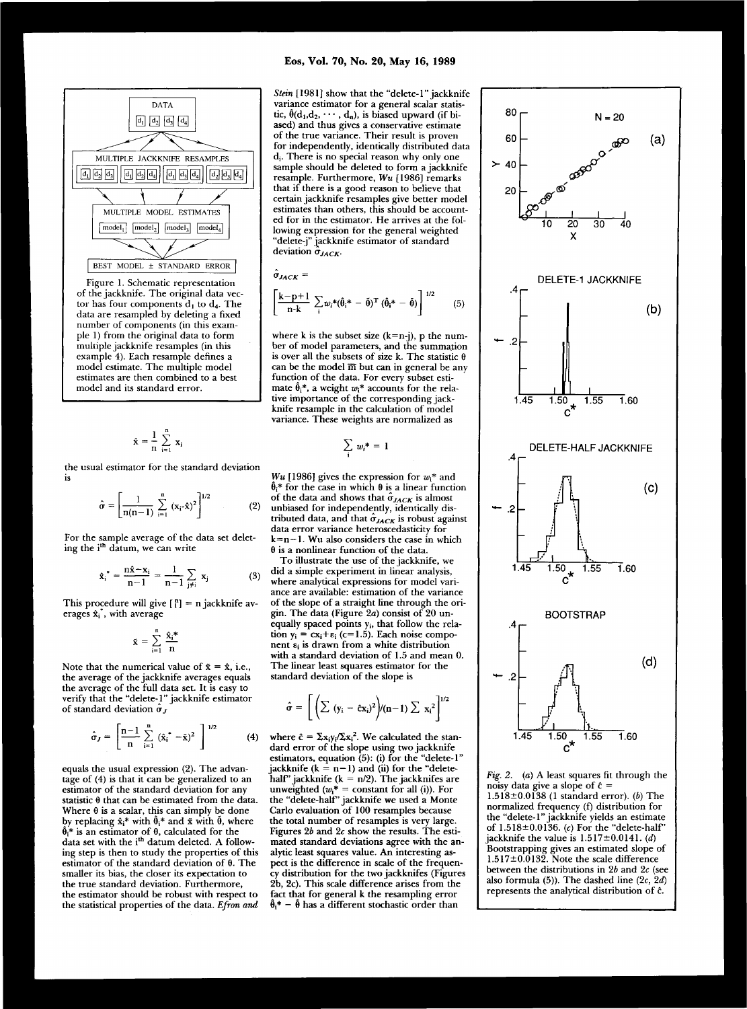

of the jackknife. The original data vector has four components  $d_1$  to  $d_4$ . The data are resampled by deleting a fixed number of components (in this example 1) from the original data to form multiple jackknife resamples (in this example 4). Each resample defines a model estimate. The multiple model estimates are then combined to a best model and its standard error.

$$
\mathbf{\hat{x}} = \frac{1}{n} \sum_{i=1}^{n} \mathbf{x}_i
$$

the usual estimator for the standard deviation is

$$
\hat{\sigma} = \left[ \frac{1}{n(n-1)} \sum_{i=1}^{n} (x_i - \hat{x})^2 \right]^{1/2}
$$
 (2)

For the sample average of the data set deleting the i''' datum, we can write

$$
\hat{\mathbf{x}}_i^* = \frac{n\hat{\mathbf{x}} - \mathbf{x}_i}{n-1} = \frac{1}{n-1} \sum_{j \neq i} \mathbf{x}_j \tag{3}
$$

This procedure will give  $\begin{bmatrix} n \\ i \end{bmatrix} = n$  jackknife averages  $\hat{\mathbf{x}}_i^*$ , with average

$$
\mathbf{\tilde{x}}\,=\,\sum_{i=1}^n\,\frac{\mathbf{\hat{x}_i}^*}{n}
$$

Note that the numerical value of  $\tilde{x} = \hat{x}$ , i.e., the average of the jackknife averages equals the average of the full data set. It is easy to verify that the "delete-1" jackknife estimator of standard deviation  $\hat{\sigma}_J$ 

$$
\hat{\sigma}_J = \left[ \frac{n-1}{n} \sum_{i=1}^n (\hat{x}_i^* - \tilde{x})^2 \right]^{1/2}
$$
 (4)

equals the usual expression (2). The advantage of  $(4)$  is that it can be generalized to an estimator of the standard deviation for any statistic  $\theta$  that can be estimated from the data. Where  $\theta$  is a scalar, this can simply be done by replacing  $\hat{x}_i^*$  with  $\hat{\theta}_i^*$  and  $\bar{x}$  with  $\tilde{\theta}$ , where  $\hat{\theta}_i^*$  is an estimator of  $\theta$ , calculated for the data set with the i<sup>m</sup> datum deleted. A following step is then to study the properties of this estimator of the standard deviation of  $\theta$ . The smaller its bias, the closer its expectation to the true standard deviation. Furthermore, the estimator should be robust with respect to the statistical properties of the data. *Efron and* 

*Stein* [1981] show that the "delete-1" jackknife variance estimator for a general scalar statistic,  $\hat{\theta}$ (d<sub>1</sub>,d<sub>2</sub>, ···, d<sub>n</sub>), is biased upward (if biased) and thus gives a conservative estimate of the true variance. Their result is proven for independently, identically distributed data  $d_i$ . There is no special reason why only one sample should be deleted to form a jackknife resample. Furthermore, Wu [1986] remarks that if there is a good reason to believe that certain jackknife resamples give better model estimates than others, this should be accounted for in the estimator. He arrives at the following expression for the general weighted "delete-j" jackknife estimator of standard deviation  $\hat{\sigma}_{JACK}$ .

$$
\hat{\sigma}_{JACK} = \left[\frac{\mathbf{k} - \mathbf{p} + 1}{\mathbf{n} \cdot \mathbf{k}} \sum_{i} w_i^* (\hat{\theta}_i^* - \tilde{\theta})^T (\hat{\theta}_i^* - \tilde{\theta})\right]^{1/2}
$$
(5)

where k is the subset size  $(k=n-j)$ , p the number of model parameters, and the summation is over all the subsets of size k. The statistic  $\theta$ can be the model  $\overline{m}$  but can in general be any function of the data. For every subset estimate  $\hat{\theta}_i^*$ , a weight  $w_i^*$  accounts for the relative importance of the corresponding jackknife resample in the calculation of model variance. These weights are normalized as

$$
\sum_i\,w_i^*=1
$$

*Wu* [1986] gives the expression for  $w_i^*$  and  $\hat{\theta}_i^*$  for the case in which  $\theta$  is a linear function of the data and shows that  $\hat{\sigma}_{JACK}$  is almost unbiased for independently, identically distributed data, and that  $\hat{\sigma}_{JACK}$  is robust against data error variance heteroscedasticity for  $k=n-1$ . Wu also considers the case in which  $\theta$  is a nonlinear function of the data.

To illustrate the use of the jackknife, we did a simple experiment in linear analysis, where analytical expressions for model variance are available: estimation of the variance of the slope of a straight line through the origin. The data (Figure 2a) consist of 20 unequally spaced points  $y_i$ , that follow the relation  $y_i = cx_i + \varepsilon_i$  (c=1.5). Each noise component  $\varepsilon_i$  is drawn from a white distribution with a standard deviation of 1.5 and mean 0. The linear least squares estimator for the standard deviation of the slope is

$$
\hat{\sigma} = \left[ \left( \sum (y_i - \hat{c}x_i)^2 \right) / (n-1) \sum x_i^2 \right]^{1/2}
$$

where  $\hat{c} = \sum x_i y_i / \sum x_i^2$ . We calculated the standard error of the slope using two jackknife estimators, equation  $(5)$ : (i) for the "delete-1" jackknife ( $k = n-1$ ) and (ii) for the "deletehalf" jackknife ( $k = n/2$ ). The jackknifes are unweighted  $(w_i^* = constant$  for all (i)). For the "delete-half" jackknife we used a Monte Carlo evaluation of 100 resamples because the total number of resamples is very large. Figures  $2b$  and  $2c$  show the results. The estimated standard deviations agree with the analytic least squares value. An interesting aspect is the difference in scale of the frequency distribution for the two jackknifes (Figures 2b, 2c). This scale difference arises from the fact that for general k the resampling error  $\hat{\theta}_i^*$  –  $\hat{\theta}$  has a different stochastic order than



*Fig. 2. (a)* A least squares fit through the noisy data give a slope of  $\hat{c}$  = 1.518±0.0138 (1 standard error). (b) The normalized frequency (f) distribution for the "delete-1" jackknife yields an estimate of  $1.518 \pm 0.0136$ . (c) For the "delete-half" jackknife the value is  $1.517 \pm 0.0141$ . *(d)* Bootstrapping gives an estimated slope of  $1.517\pm0.0132$ . Note the scale difference between the distributions in 2b and 2c (see also formula  $(5)$ ). The dashed line  $(2c, 2d)$ represents the analytical distribution of ĉ.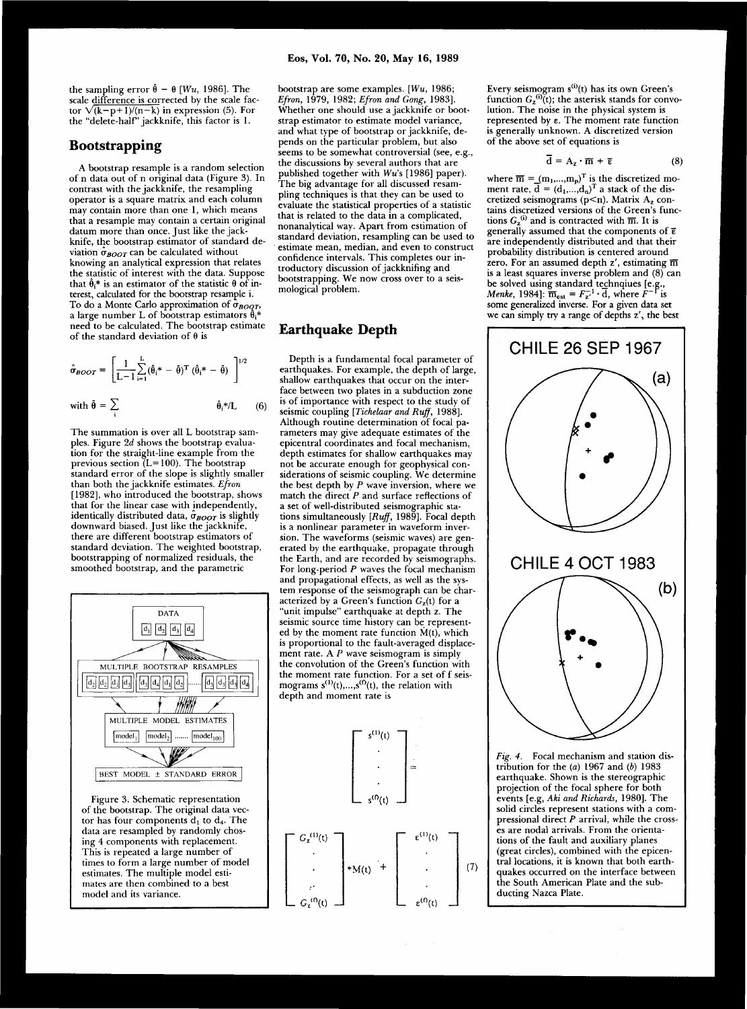the sampling error  $\hat{\theta} - \theta$  [*Wu*, 1986]. The scale difference is corrected by the scale factor  $\sqrt{(k-p+1)/(n-k)}$  in expression (5). For the "delete-half" jackknife, this factor is 1.

# **Bootstrapping**

A bootstrap resample is a random selection of n data out of n original data (Figure 3). In contrast with the jackknife, the resampling operator is a square matrix and each column may contain more than one 1, which means that a resample may contain a certain original datum more than once. Just like the jackknife, the bootstrap estimator of standard deviation  $\hat{\sigma}_{\text{BOOT}}$  can be calculated without knowing an analytical expression that relates the statistic of interest with the data. Suppose that  $\hat{\theta}$ <sup>\*</sup> is an estimator of the statistic  $\theta$  of interest, calculated for the bootstrap resample i. To do a Monte Carlo approximation of  $\sigma_{\text{BOD}}$ , a large number L of bootstrap estimators  $\theta$ .\* need to be calculated. The bootstrap estimate of the standard deviation of  $\theta$  is

$$
\hat{\sigma}_{\text{BOOT}} = \left[ \frac{1}{L-1} \sum_{i=1}^{L} (\hat{\theta}_{i}^{*} - \tilde{\theta})^{T} (\hat{\theta}_{i}^{*} - \tilde{\theta}) \right]^{1/2}
$$
\nwith  $\tilde{\theta} = \sum \hat{\theta}_{i}^{*}/L$  (6)

The summation is over all L bootstrap samples. Figure 2d shows the bootstrap evaluation for the straight-line example from the previous section  $(L=100)$ . The bootstrap standard error of the slope is slightly smaller than both the jackknife estimates. Efron [1982], who introduced the bootstrap, shows that for the linear case with independently, identically distributed data,  $\hat{\sigma}_{\text{BOOT}}$  is slightly downward biased. Just like the jackknife, there are different bootstrap estimators of standard deviation. The weighted bootstrap, bootstrapping of normalized residuals, the smoothed bootstrap, and the parametric



Figure 3. Schematic representation of the bootstrap. The original data vector has four components  $d_1$  to  $d_4$ . The data are resampled by randomly chosing 4 components with replacement. This is repeated a large number of times to form a large number of model estimates. The multiple model estimates are then combined to a best model and its variance.

bootstrap are some examples. [Wu, 1986; *Efron,* 1979 , 1982 ; *Efron and Gong,* 1983] . Whether one should use a jackknife or bootstrap estimator to estimate model variance, and what type of bootstrap or jackknife, depends on the particular problem, but also seems to be somewhat controversial (see, e.g., the discussions by several authors that are published together with Wu's [1986] paper). The big advantage for all discussed resampling techniques is that they can be used to evaluate the statistical properties of a statistic that is related to the data in a complicated, nonanalytical way. Apart from estimation of standard deviation, resampling can be used to estimate mean, median, and even to construct confidence intervals. This completes our introductory discussion of jackknifing and bootstrapping. We now cross over to a seismological problem.

### **Earthquake Depth**

Depth is a fundamental focal parameter of earthquakes. For example, the depth of large, shallow earthquakes that occur on the interface between two plates in a subduction zone is of importance with respect to the study of seismic coupling [Tichelaar and Ruff, 1988]. Although routine determination of focal parameters may give adequate estimates of the epicentral coordinates and focal mechanism, depth estimates for shallow earthquakes may not be accurate enough for geophysical considerations of seismic coupling. We determine the best depth by  $P$  wave inversion, where we match the direct  $P$  and surface reflections of a set of well-distributed seismographic stations simultaneously *[Ruff, 1989]*. Focal depth is a nonlinear parameter in waveform inversion. The waveforms (seismic waves) are generated by the earthquake, propagate through the Earth, and are recorded by seismographs. For long-period  $P$  waves the focal mechanism and propagational effects, as well as the system response of the seismograph can be characterized by a Green's function  $G_z(t)$  for a "unit impulse" earthquake at depth z. The seismic source time history can be represented by the moment rate function  $\dot{M}(t)$ , which is proportional to the fault-averaged displacement rate. A  $P$  wave seismogram is simply the convolution of the Green's function with the moment rate function. For a set of f seismograms  $s^{(1)}(t),...,s^{(f)}(t)$ , the relation with depth and moment rate is



Every seismogram  $s^{(i)}(t)$  has its own Green's function  $G_{\mathbf{z}}^{\mathbf{w}}(t)$ ; the asterisk stands for convolution. The noise in the physical system is represented by  $\varepsilon$ . The moment rate function is generally unknown. A discretized version of the above set of equations is

$$
\overline{\mathbf{d}} = \mathbf{A}_z \cdot \overline{\mathbf{m}} + \overline{\epsilon} \tag{8}
$$

where  $\overline{m} = (m_1,...,m_n)$  is the discretized moment rate,  $d = (d_1,...,d_n)$  a stack of the discretized seismograms  $(p < n)$ . Matrix  $A<sub>z</sub>$  contains discretized versions of the Green's functions  $G_{\mathbf{z}}^{\mathbf{w}}$  and is contracted with  $\overline{\mathbf{m}}$ . It is generally assumed that the components of  $\bar{\epsilon}$ are independently distributed and that their probability distribution is centered around zero. For an assumed depth  $z'$ , estimating  $\overline{m}$ is a least squares inverse problem and  $(8)$  can be solved using standard technqiues [e.g., *Menke*, 1984]:  $\overline{m}_{est} = F_{\tau}^{-1} \cdot d$ , where  $F^{-1}$  is some generalized inverse. For a given data set we can simply try a range of depths z', the best



Fig. 4. Focal mechanism and station distribution for the (a) 1967 and (b) 1983 earthquake. Shown is the stereographic projection of the focal sphere for both events [e.g, Aki and Richards, 1980]. The solid circles represent stations with a compressional direct P arrival, while the crosses are nodal arrivals. From the orientations of the fault and auxiliary planes (great circles), combined with the epicentral locations, it is known that both earthquakes occurred on the interface between the South American Plate and the subducting Nazca Plate.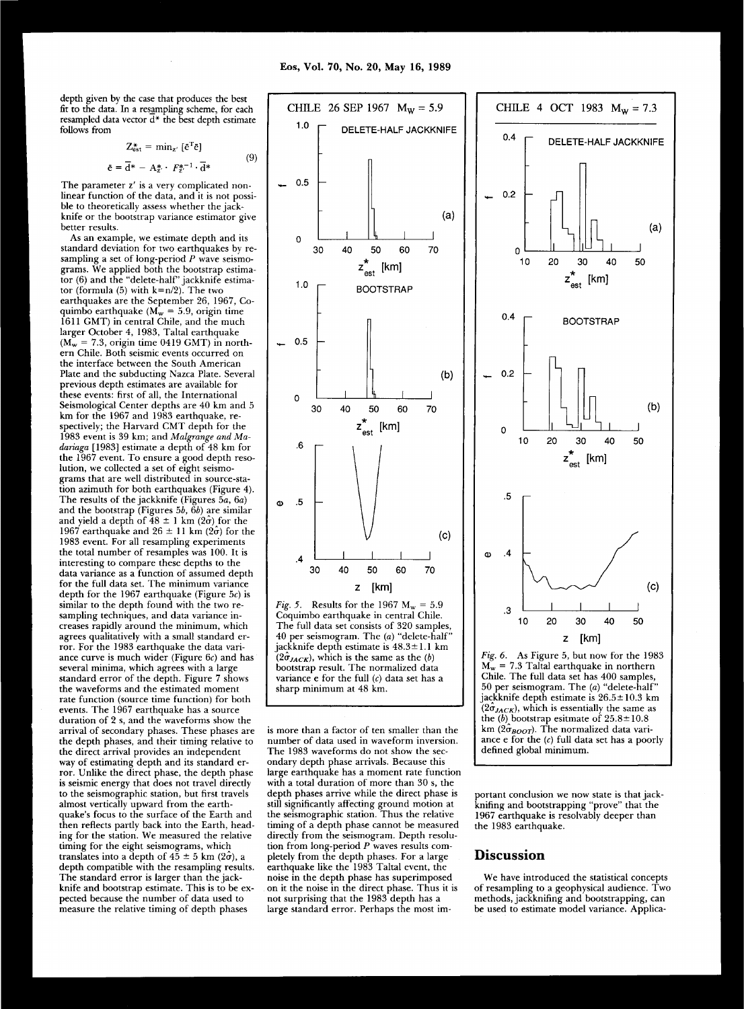depth given by the case that produces the best fit to the data. In a resampling scheme, for each resampled data vector  $\overline{d^*}$  the best depth estimate follows from

$$
Z_{est}^{*} = \min_{z'} [\bar{e}^{T} \bar{e}]
$$

$$
\bar{e} = \bar{d}^{*} - A^{*} \cdot F^{*-1} \cdot \bar{d}^{*}
$$

(9)

The parameter z' is a very complicated nonlinear function of the data, and it is not possible to theoretically assess whether the jackknife or the bootstrap variance estimator give better results.

As an example, we estimate depth and its standard deviation for two earthquakes by resampling a set of long-period  $P$  wave seismograms. We applied both the bootstrap estima $t$  or  $(6)$  and the "delete-half" jackknife estimator (formula (5) with  $k=n/2$ ). The two earthquakes are the September 26, 1967, Coquimbo earthquake ( $M_w = 5.9$ , origin time 1611 GMT) in central Chile, and the much larger October 4, 1983, Taltal earthquake  $(M_w = 7.3$ , origin time 0419 GMT) in northern Chile. Both seismic events occurred on the interface between the South American Plate and the subducting Nazca Plate. Several previous depth estimates are available for these events: first of all, the International Seismological Center depths are 40 km and 5 km for the 1967 and 1983 earthquake, respectively; the Harvard CMT depth for the 1983 event is 39 km; and Malgrange and Ma*dariaga* [1983] estimate a depth of 48 km for the 1967 event. To ensure a good depth resolution, we collected a set of eight seismograms that are well distributed in source-station azimuth for both earthquakes (Figure 4). The results of the jackknife (Figures 5a, 6a) and the bootstrap (Figures 5b, 6b) are similar and yield a depth of  $48 \pm 1$  km ( $2\sigma$ ) for the 1967 earthquake and  $26 \pm 11$  km  $(2\sigma)$  for the 1983 event. For all resampling experiments the total number of resamples was 100. It is interesting to compare these depths to the data variance as a function of assumed depth for the full data set. The minimum variance depth for the 1967 earthquake (Figure 5c) is similar to the depth found with the two resampling techniques, and data variance increases rapidly around the minimum, which agrees qualitatively with a small standard error. For the 1983 earthquake the data variance curve is much wider (Figure  $6c$ ) and has several minima, which agrees with a large standard error of the depth. Figure 7 shows the waveforms and the estimated moment rate function (source time function) for both events. The 1967 earthquake has a source duration of 2 s, and the waveforms show the arrival of secondary phases. These phases are the depth phases, and their timing relative to the direct arrival provides an independent way of estimating depth and its standard error. Unlike the direct phase, the depth phase is seismic energy that does not travel directly to the seismographic station, but first travels almost vertically upward from the earthquake's focus to the surface of the Earth and then reflects partly back into the Earth, heading for the station. We measured the relative timing for the eight seismograms, which translates into a depth of  $45 \pm 5$  km ( $2\hat{\sigma}$ ), a depth compatible with the resampling results. The standard error is larger than the jackknife and bootstrap estimate. This is to be expected because the number of data used to measure the relative timing of depth phases



*Fig. 5.* Results for the 1967  $M_w = 5.9$ Coquimbo earthquake in central Chile. The full data set consists of 320 samples, 40 per seismogram. The *(a)* "delete-half" jackknife depth estimate is  $48.3 \pm 1.1$  km  $(2\hat{\sigma}_{JACK})$ , which is the same as the *(b)* bootstrap result. The normalized data variance e for the full (c) data set has a sharp minimum at 48 km.

is more than a factor of ten smaller than the number of data used in waveform inversion. The 1983 waveforms do not show the secondary depth phase arrivals. Because this large earthquake has a moment rate function with a total duration of more than  $30$  s, the depth phases arrive while the direct phase is still significantly affecting ground motion at the seismographic station. Thus the relative timing of a depth phase cannot be measured directly from the seismogram. Depth resolution from long-period P waves results completely from the depth phases. For a large earthquake like the 1983 Taltal event, the noise in the depth phase has superimposed on it the noise in the direct phase. Thus it is not surprising that the 1983 depth has a large standard error. Perhaps the most im-



Fig. 6. As Figure 5, but now for the 1983  $\widetilde{M_w}$  = 7.3 Taltal earthquake in northern Chile. The full data set has  $400$  samples, 50 per seismogram. The *(a)* "delete-half" jackknife depth estimate is  $26.5 \pm 10.3$  km  $(2\sigma_{JACK})$ , which is essentially the same as the (*b*) bootstrap esitmate of  $25.8 \pm 10.8$ km (2 $\hat{\sigma}_{\text{{\tiny{BOOT}}}}$ ). The normalized data variance  $e$  for the  $(c)$  full data set has a poorly defined global minimum.

portant conclusion we now state is that jackknifing and bootstrapping "prove" that the 1967 earthquake is resolvably deeper than the 1983 earthquake.

#### **Discussion**

We have introduced the statistical concepts of resampling to a geophysical audience. Two methods, jackknifing and bootstrapping, can be used to estimate model variance. Applica-